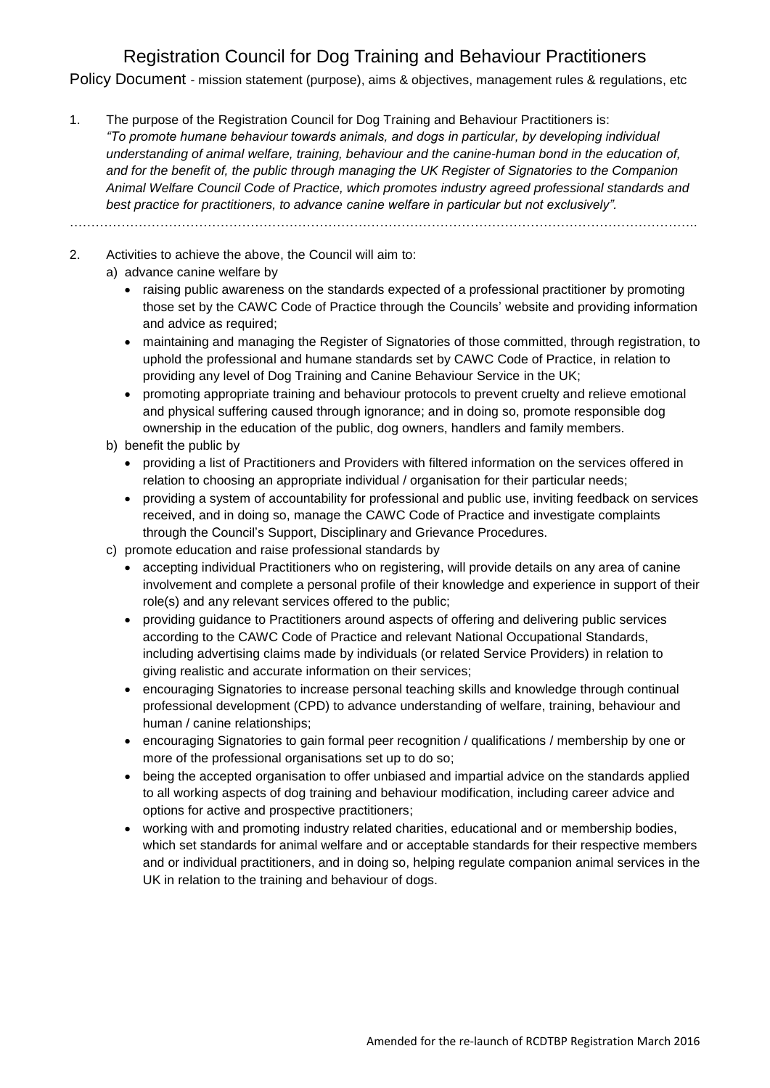Policy Document - mission statement (purpose), aims & objectives, management rules & regulations, etc

1. The purpose of the Registration Council for Dog Training and Behaviour Practitioners is: *"To promote humane behaviour towards animals, and dogs in particular, by developing individual understanding of animal welfare, training, behaviour and the canine-human bond in the education of, and for the benefit of, the public through managing the UK Register of Signatories to the Companion Animal Welfare Council Code of Practice, which promotes industry agreed professional standards and best practice for practitioners, to advance canine welfare in particular but not exclusively".*

………………………………………………………………………………………………………………………………..

- 2. Activities to achieve the above, the Council will aim to: a) advance canine welfare by
	- raising public awareness on the standards expected of a professional practitioner by promoting those set by the CAWC Code of Practice through the Councils' website and providing information and advice as required;
	- maintaining and managing the Register of Signatories of those committed, through registration, to uphold the professional and humane standards set by CAWC Code of Practice, in relation to providing any level of Dog Training and Canine Behaviour Service in the UK;
	- promoting appropriate training and behaviour protocols to prevent cruelty and relieve emotional and physical suffering caused through ignorance; and in doing so, promote responsible dog ownership in the education of the public, dog owners, handlers and family members.
	- b) benefit the public by
		- providing a list of Practitioners and Providers with filtered information on the services offered in relation to choosing an appropriate individual / organisation for their particular needs;
		- providing a system of accountability for professional and public use, inviting feedback on services received, and in doing so, manage the CAWC Code of Practice and investigate complaints through the Council's Support, Disciplinary and Grievance Procedures.
	- c) promote education and raise professional standards by
		- accepting individual Practitioners who on registering, will provide details on any area of canine involvement and complete a personal profile of their knowledge and experience in support of their role(s) and any relevant services offered to the public;
		- providing guidance to Practitioners around aspects of offering and delivering public services according to the CAWC Code of Practice and relevant National Occupational Standards, including advertising claims made by individuals (or related Service Providers) in relation to giving realistic and accurate information on their services;
		- encouraging Signatories to increase personal teaching skills and knowledge through continual professional development (CPD) to advance understanding of welfare, training, behaviour and human / canine relationships;
		- encouraging Signatories to gain formal peer recognition / qualifications / membership by one or more of the professional organisations set up to do so;
		- being the accepted organisation to offer unbiased and impartial advice on the standards applied to all working aspects of dog training and behaviour modification, including career advice and options for active and prospective practitioners;
		- working with and promoting industry related charities, educational and or membership bodies, which set standards for animal welfare and or acceptable standards for their respective members and or individual practitioners, and in doing so, helping regulate companion animal services in the UK in relation to the training and behaviour of dogs.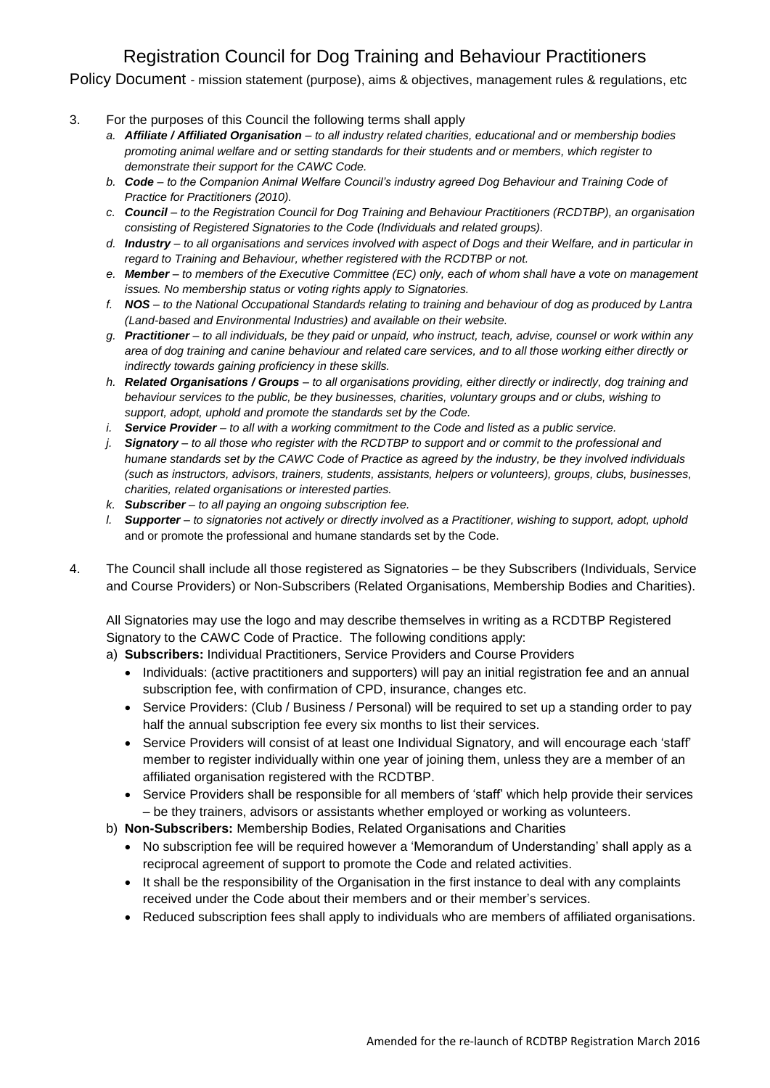Policy Document - mission statement (purpose), aims & objectives, management rules & regulations, etc

- 3. For the purposes of this Council the following terms shall apply
	- *a. Affiliate / Affiliated Organisation – to all industry related charities, educational and or membership bodies promoting animal welfare and or setting standards for their students and or members, which register to demonstrate their support for the CAWC Code.*
	- *b. Code – to the Companion Animal Welfare Council's industry agreed Dog Behaviour and Training Code of Practice for Practitioners (2010).*
	- *c. Council – to the Registration Council for Dog Training and Behaviour Practitioners (RCDTBP), an organisation consisting of Registered Signatories to the Code (Individuals and related groups).*
	- *d. Industry – to all organisations and services involved with aspect of Dogs and their Welfare, and in particular in regard to Training and Behaviour, whether registered with the RCDTBP or not.*
	- *e. Member – to members of the Executive Committee (EC) only, each of whom shall have a vote on management issues. No membership status or voting rights apply to Signatories.*
	- *f. NOS – to the National Occupational Standards relating to training and behaviour of dog as produced by Lantra (Land-based and Environmental Industries) and available on their website.*
	- *g. Practitioner – to all individuals, be they paid or unpaid, who instruct, teach, advise, counsel or work within any area of dog training and canine behaviour and related care services, and to all those working either directly or indirectly towards gaining proficiency in these skills.*
	- *h. Related Organisations / Groups – to all organisations providing, either directly or indirectly, dog training and behaviour services to the public, be they businesses, charities, voluntary groups and or clubs, wishing to support, adopt, uphold and promote the standards set by the Code.*
	- *i. Service Provider – to all with a working commitment to the Code and listed as a public service.*
	- *j. Signatory – to all those who register with the RCDTBP to support and or commit to the professional and humane standards set by the CAWC Code of Practice as agreed by the industry, be they involved individuals (such as instructors, advisors, trainers, students, assistants, helpers or volunteers), groups, clubs, businesses, charities, related organisations or interested parties.*
	- *k. Subscriber – to all paying an ongoing subscription fee.*
	- *l. Supporter – to signatories not actively or directly involved as a Practitioner, wishing to support, adopt, uphold*  and or promote the professional and humane standards set by the Code.
- 4. The Council shall include all those registered as Signatories be they Subscribers (Individuals, Service and Course Providers) or Non-Subscribers (Related Organisations, Membership Bodies and Charities).

All Signatories may use the logo and may describe themselves in writing as a RCDTBP Registered Signatory to the CAWC Code of Practice. The following conditions apply:

a) **Subscribers:** Individual Practitioners, Service Providers and Course Providers

- Individuals: (active practitioners and supporters) will pay an initial registration fee and an annual subscription fee, with confirmation of CPD, insurance, changes etc.
- Service Providers: (Club / Business / Personal) will be required to set up a standing order to pay half the annual subscription fee every six months to list their services.
- Service Providers will consist of at least one Individual Signatory, and will encourage each 'staff' member to register individually within one year of joining them, unless they are a member of an affiliated organisation registered with the RCDTBP.
- Service Providers shall be responsible for all members of 'staff' which help provide their services – be they trainers, advisors or assistants whether employed or working as volunteers.
- b) **Non-Subscribers:** Membership Bodies, Related Organisations and Charities
	- No subscription fee will be required however a 'Memorandum of Understanding' shall apply as a reciprocal agreement of support to promote the Code and related activities.
	- It shall be the responsibility of the Organisation in the first instance to deal with any complaints received under the Code about their members and or their member's services.
	- Reduced subscription fees shall apply to individuals who are members of affiliated organisations.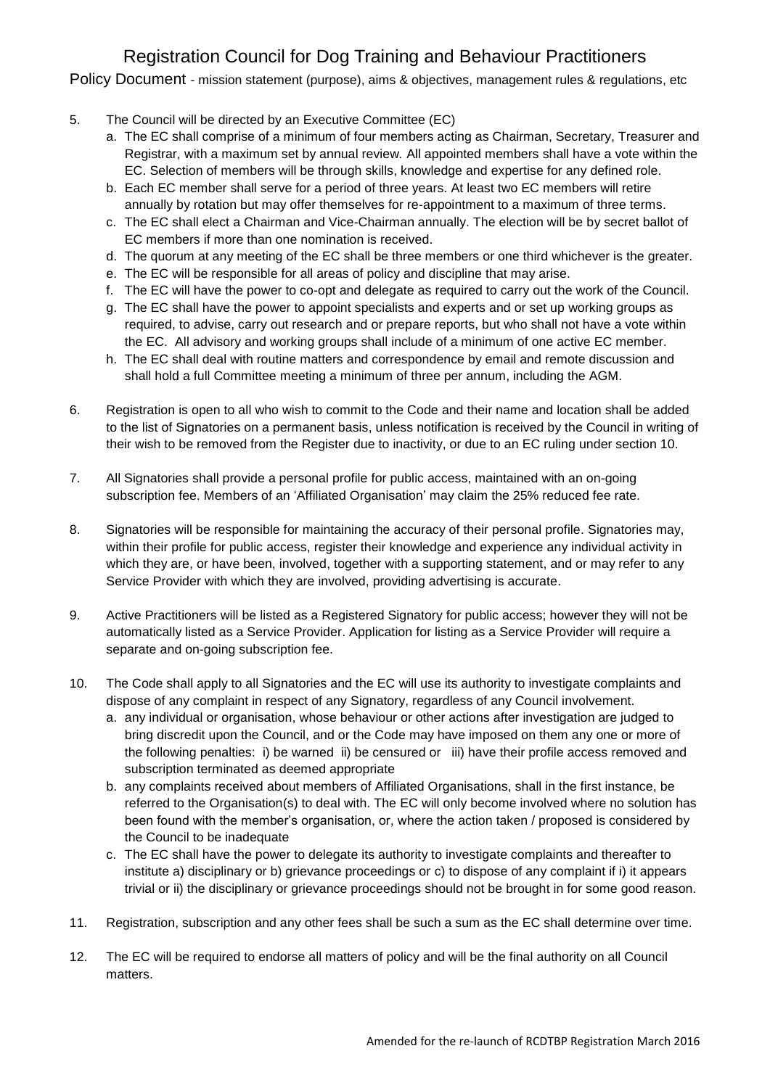Policy Document - mission statement (purpose), aims & objectives, management rules & regulations, etc

- 5. The Council will be directed by an Executive Committee (EC)
	- a. The EC shall comprise of a minimum of four members acting as Chairman, Secretary, Treasurer and Registrar, with a maximum set by annual review*.* All appointed members shall have a vote within the EC. Selection of members will be through skills, knowledge and expertise for any defined role.
	- b. Each EC member shall serve for a period of three years. At least two EC members will retire annually by rotation but may offer themselves for re-appointment to a maximum of three terms.
	- c. The EC shall elect a Chairman and Vice-Chairman annually. The election will be by secret ballot of EC members if more than one nomination is received.
	- d. The quorum at any meeting of the EC shall be three members or one third whichever is the greater.
	- e. The EC will be responsible for all areas of policy and discipline that may arise.
	- f. The EC will have the power to co-opt and delegate as required to carry out the work of the Council.
	- g. The EC shall have the power to appoint specialists and experts and or set up working groups as required, to advise, carry out research and or prepare reports, but who shall not have a vote within the EC. All advisory and working groups shall include of a minimum of one active EC member.
	- h. The EC shall deal with routine matters and correspondence by email and remote discussion and shall hold a full Committee meeting a minimum of three per annum, including the AGM.
- 6. Registration is open to all who wish to commit to the Code and their name and location shall be added to the list of Signatories on a permanent basis, unless notification is received by the Council in writing of their wish to be removed from the Register due to inactivity, or due to an EC ruling under section 10.
- 7. All Signatories shall provide a personal profile for public access, maintained with an on-going subscription fee. Members of an 'Affiliated Organisation' may claim the 25% reduced fee rate.
- 8. Signatories will be responsible for maintaining the accuracy of their personal profile. Signatories may, within their profile for public access, register their knowledge and experience any individual activity in which they are, or have been, involved, together with a supporting statement, and or may refer to any Service Provider with which they are involved, providing advertising is accurate.
- 9. Active Practitioners will be listed as a Registered Signatory for public access; however they will not be automatically listed as a Service Provider. Application for listing as a Service Provider will require a separate and on-going subscription fee.
- 10. The Code shall apply to all Signatories and the EC will use its authority to investigate complaints and dispose of any complaint in respect of any Signatory, regardless of any Council involvement.
	- a. any individual or organisation, whose behaviour or other actions after investigation are judged to bring discredit upon the Council, and or the Code may have imposed on them any one or more of the following penalties: i) be warned ii) be censured or iii) have their profile access removed and subscription terminated as deemed appropriate
	- b. any complaints received about members of Affiliated Organisations, shall in the first instance, be referred to the Organisation(s) to deal with. The EC will only become involved where no solution has been found with the member's organisation, or, where the action taken / proposed is considered by the Council to be inadequate
	- c. The EC shall have the power to delegate its authority to investigate complaints and thereafter to institute a) disciplinary or b) grievance proceedings or c) to dispose of any complaint if i) it appears trivial or ii) the disciplinary or grievance proceedings should not be brought in for some good reason.
- 11. Registration, subscription and any other fees shall be such a sum as the EC shall determine over time.
- 12. The EC will be required to endorse all matters of policy and will be the final authority on all Council matters.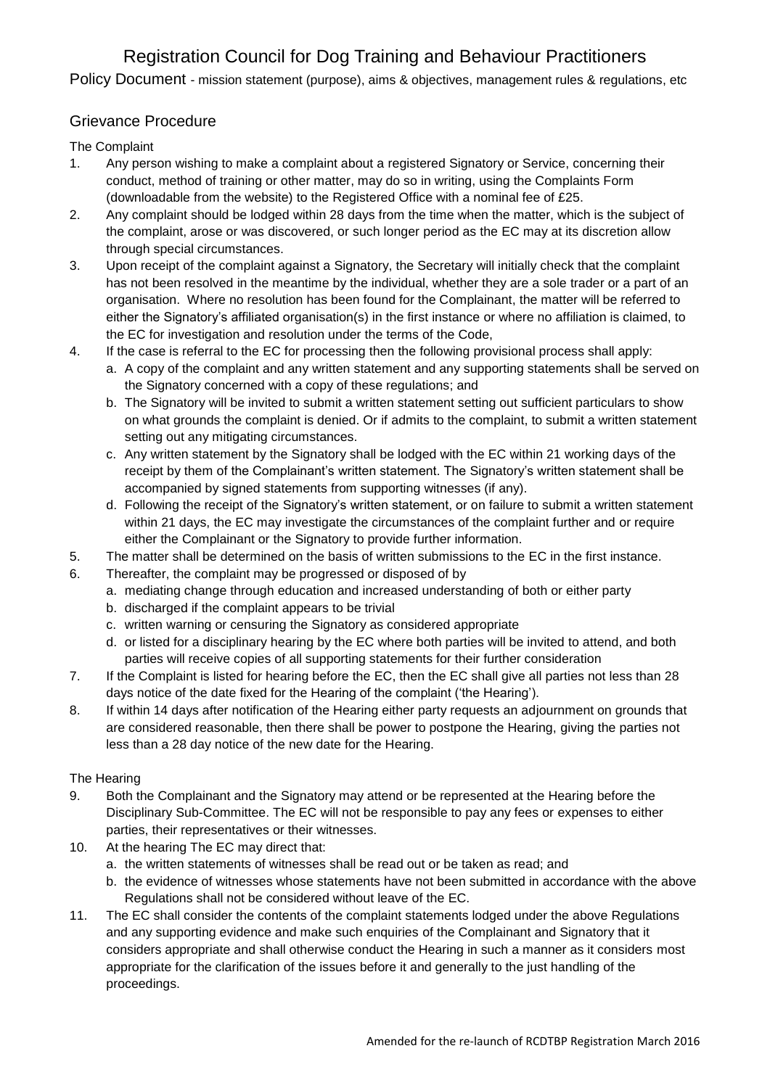Policy Document - mission statement (purpose), aims & objectives, management rules & regulations, etc

## Grievance Procedure

The Complaint

- 1. Any person wishing to make a complaint about a registered Signatory or Service, concerning their conduct, method of training or other matter, may do so in writing, using the Complaints Form (downloadable from the website) to the Registered Office with a nominal fee of £25.
- 2. Any complaint should be lodged within 28 days from the time when the matter, which is the subject of the complaint, arose or was discovered, or such longer period as the EC may at its discretion allow through special circumstances.
- 3. Upon receipt of the complaint against a Signatory, the Secretary will initially check that the complaint has not been resolved in the meantime by the individual, whether they are a sole trader or a part of an organisation. Where no resolution has been found for the Complainant, the matter will be referred to either the Signatory's affiliated organisation(s) in the first instance or where no affiliation is claimed, to the EC for investigation and resolution under the terms of the Code,
- 4. If the case is referral to the EC for processing then the following provisional process shall apply:
	- a. A copy of the complaint and any written statement and any supporting statements shall be served on the Signatory concerned with a copy of these regulations; and
	- b. The Signatory will be invited to submit a written statement setting out sufficient particulars to show on what grounds the complaint is denied. Or if admits to the complaint, to submit a written statement setting out any mitigating circumstances.
	- c. Any written statement by the Signatory shall be lodged with the EC within 21 working days of the receipt by them of the Complainant's written statement. The Signatory's written statement shall be accompanied by signed statements from supporting witnesses (if any).
	- d. Following the receipt of the Signatory's written statement, or on failure to submit a written statement within 21 days, the EC may investigate the circumstances of the complaint further and or require either the Complainant or the Signatory to provide further information.
- 5. The matter shall be determined on the basis of written submissions to the EC in the first instance.
- 6. Thereafter, the complaint may be progressed or disposed of by
	- a. mediating change through education and increased understanding of both or either party
	- b. discharged if the complaint appears to be trivial
	- c. written warning or censuring the Signatory as considered appropriate
	- d. or listed for a disciplinary hearing by the EC where both parties will be invited to attend, and both parties will receive copies of all supporting statements for their further consideration
- 7. If the Complaint is listed for hearing before the EC, then the EC shall give all parties not less than 28 days notice of the date fixed for the Hearing of the complaint ('the Hearing').
- 8. If within 14 days after notification of the Hearing either party requests an adjournment on grounds that are considered reasonable, then there shall be power to postpone the Hearing, giving the parties not less than a 28 day notice of the new date for the Hearing.

### The Hearing

- 9. Both the Complainant and the Signatory may attend or be represented at the Hearing before the Disciplinary Sub-Committee. The EC will not be responsible to pay any fees or expenses to either parties, their representatives or their witnesses.
- 10. At the hearing The EC may direct that:
	- a. the written statements of witnesses shall be read out or be taken as read; and
	- b. the evidence of witnesses whose statements have not been submitted in accordance with the above Regulations shall not be considered without leave of the EC.
- 11. The EC shall consider the contents of the complaint statements lodged under the above Regulations and any supporting evidence and make such enquiries of the Complainant and Signatory that it considers appropriate and shall otherwise conduct the Hearing in such a manner as it considers most appropriate for the clarification of the issues before it and generally to the just handling of the proceedings.